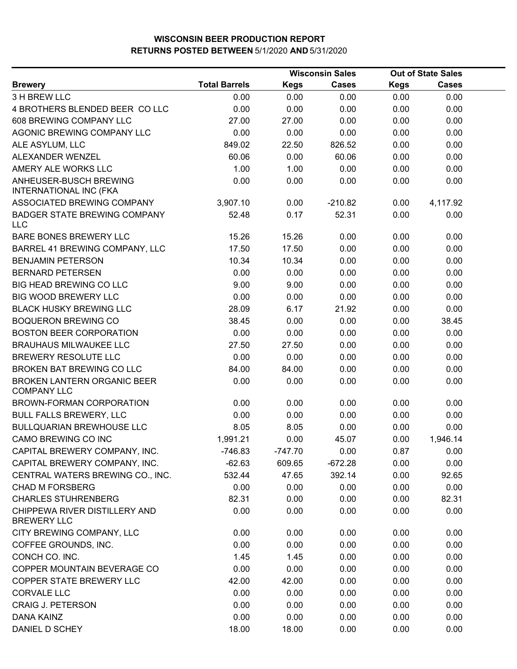|                                                          |                      |             | <b>Wisconsin Sales</b> | <b>Out of State Sales</b> |              |  |
|----------------------------------------------------------|----------------------|-------------|------------------------|---------------------------|--------------|--|
| <b>Brewery</b>                                           | <b>Total Barrels</b> | <b>Kegs</b> | <b>Cases</b>           | <b>Kegs</b>               | <b>Cases</b> |  |
| 3 H BREW LLC                                             | 0.00                 | 0.00        | 0.00                   | 0.00                      | 0.00         |  |
| 4 BROTHERS BLENDED BEER COLLC                            | 0.00                 | 0.00        | 0.00                   | 0.00                      | 0.00         |  |
| 608 BREWING COMPANY LLC                                  | 27.00                | 27.00       | 0.00                   | 0.00                      | 0.00         |  |
| AGONIC BREWING COMPANY LLC                               | 0.00                 | 0.00        | 0.00                   | 0.00                      | 0.00         |  |
| ALE ASYLUM, LLC                                          | 849.02               | 22.50       | 826.52                 | 0.00                      | 0.00         |  |
| ALEXANDER WENZEL                                         | 60.06                | 0.00        | 60.06                  | 0.00                      | 0.00         |  |
| AMERY ALE WORKS LLC                                      | 1.00                 | 1.00        | 0.00                   | 0.00                      | 0.00         |  |
| ANHEUSER-BUSCH BREWING<br><b>INTERNATIONAL INC (FKA</b>  | 0.00                 | 0.00        | 0.00                   | 0.00                      | 0.00         |  |
| ASSOCIATED BREWING COMPANY                               | 3,907.10             | 0.00        | $-210.82$              | 0.00                      | 4,117.92     |  |
| <b>BADGER STATE BREWING COMPANY</b><br><b>LLC</b>        | 52.48                | 0.17        | 52.31                  | 0.00                      | 0.00         |  |
| BARE BONES BREWERY LLC                                   | 15.26                | 15.26       | 0.00                   | 0.00                      | 0.00         |  |
| BARREL 41 BREWING COMPANY, LLC                           | 17.50                | 17.50       | 0.00                   | 0.00                      | 0.00         |  |
| <b>BENJAMIN PETERSON</b>                                 | 10.34                | 10.34       | 0.00                   | 0.00                      | 0.00         |  |
| <b>BERNARD PETERSEN</b>                                  | 0.00                 | 0.00        | 0.00                   | 0.00                      | 0.00         |  |
| BIG HEAD BREWING CO LLC                                  | 9.00                 | 9.00        | 0.00                   | 0.00                      | 0.00         |  |
| <b>BIG WOOD BREWERY LLC</b>                              | 0.00                 | 0.00        | 0.00                   | 0.00                      | 0.00         |  |
| <b>BLACK HUSKY BREWING LLC</b>                           | 28.09                | 6.17        | 21.92                  | 0.00                      | 0.00         |  |
| <b>BOQUERON BREWING CO</b>                               | 38.45                | 0.00        | 0.00                   | 0.00                      | 38.45        |  |
| <b>BOSTON BEER CORPORATION</b>                           | 0.00                 | 0.00        | 0.00                   | 0.00                      | 0.00         |  |
| <b>BRAUHAUS MILWAUKEE LLC</b>                            | 27.50                | 27.50       | 0.00                   | 0.00                      | 0.00         |  |
| BREWERY RESOLUTE LLC                                     | 0.00                 | 0.00        | 0.00                   | 0.00                      | 0.00         |  |
| BROKEN BAT BREWING CO LLC                                | 84.00                | 84.00       | 0.00                   | 0.00                      | 0.00         |  |
| <b>BROKEN LANTERN ORGANIC BEER</b><br><b>COMPANY LLC</b> | 0.00                 | 0.00        | 0.00                   | 0.00                      | 0.00         |  |
| BROWN-FORMAN CORPORATION                                 | 0.00                 | 0.00        | 0.00                   | 0.00                      | 0.00         |  |
| <b>BULL FALLS BREWERY, LLC</b>                           | 0.00                 | 0.00        | 0.00                   | 0.00                      | 0.00         |  |
| <b>BULLQUARIAN BREWHOUSE LLC</b>                         | 8.05                 | 8.05        | 0.00                   | 0.00                      | 0.00         |  |
| CAMO BREWING CO INC                                      | 1,991.21             | 0.00        | 45.07                  | 0.00                      | 1,946.14     |  |
| CAPITAL BREWERY COMPANY, INC.                            | -746.83              | -747.70     | 0.00                   | 0.87                      | 0.00         |  |
| CAPITAL BREWERY COMPANY, INC.                            | $-62.63$             | 609.65      | $-672.28$              | 0.00                      | 0.00         |  |
| CENTRAL WATERS BREWING CO., INC.                         | 532.44               | 47.65       | 392.14                 | 0.00                      | 92.65        |  |
| <b>CHAD M FORSBERG</b>                                   | 0.00                 | 0.00        | 0.00                   | 0.00                      | 0.00         |  |
| <b>CHARLES STUHRENBERG</b>                               | 82.31                | 0.00        | 0.00                   | 0.00                      | 82.31        |  |
| CHIPPEWA RIVER DISTILLERY AND<br><b>BREWERY LLC</b>      | 0.00                 | 0.00        | 0.00                   | 0.00                      | 0.00         |  |
| CITY BREWING COMPANY, LLC                                | 0.00                 | 0.00        | 0.00                   | 0.00                      | 0.00         |  |
| COFFEE GROUNDS, INC.                                     | 0.00                 | 0.00        | 0.00                   | 0.00                      | 0.00         |  |
| CONCH CO. INC.                                           | 1.45                 | 1.45        | 0.00                   | 0.00                      | 0.00         |  |
| COPPER MOUNTAIN BEVERAGE CO                              | 0.00                 | 0.00        | 0.00                   | 0.00                      | 0.00         |  |
| COPPER STATE BREWERY LLC                                 | 42.00                | 42.00       | 0.00                   | 0.00                      | 0.00         |  |
| <b>CORVALE LLC</b>                                       | 0.00                 | 0.00        | 0.00                   | 0.00                      | 0.00         |  |
| <b>CRAIG J. PETERSON</b>                                 | 0.00                 | 0.00        | 0.00                   | 0.00                      | 0.00         |  |
| DANA KAINZ                                               | 0.00                 | 0.00        | 0.00                   | 0.00                      | 0.00         |  |
| DANIEL D SCHEY                                           | 18.00                | 18.00       | 0.00                   | 0.00                      | 0.00         |  |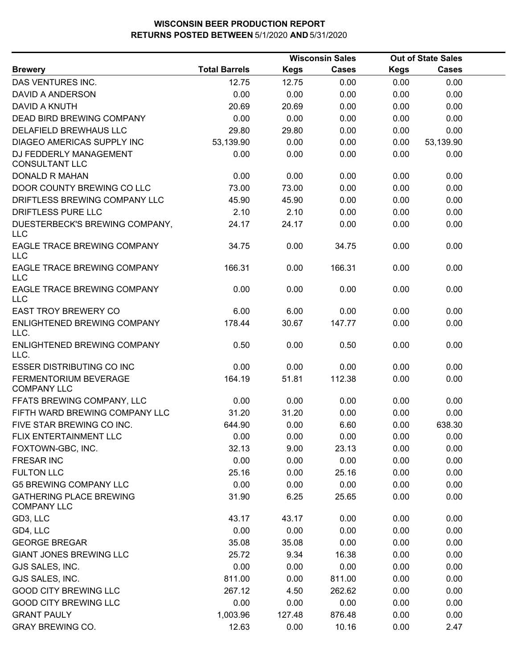| <b>Total Barrels</b><br><b>Cases</b><br><b>Kegs</b><br><b>Kegs</b><br>Cases<br><b>Brewery</b><br>12.75<br>0.00<br>0.00<br>DAS VENTURES INC.<br>12.75<br>0.00<br>DAVID A ANDERSON<br>0.00<br>0.00<br>0.00<br>0.00<br>0.00<br><b>DAVID A KNUTH</b><br>20.69<br>20.69<br>0.00<br>0.00<br>0.00<br><b>DEAD BIRD BREWING COMPANY</b><br>0.00<br>0.00<br>0.00<br>0.00<br>0.00<br>DELAFIELD BREWHAUS LLC<br>29.80<br>29.80<br>0.00<br>0.00<br>0.00<br>DIAGEO AMERICAS SUPPLY INC<br>53,139.90<br>0.00<br>0.00<br>0.00<br>53,139.90<br>DJ FEDDERLY MANAGEMENT<br>0.00<br>0.00<br>0.00<br>0.00<br>0.00<br><b>CONSULTANT LLC</b><br><b>DONALD R MAHAN</b><br>0.00<br>0.00<br>0.00<br>0.00<br>0.00<br>DOOR COUNTY BREWING CO LLC<br>73.00<br>73.00<br>0.00<br>0.00<br>0.00<br>DRIFTLESS BREWING COMPANY LLC<br>45.90<br>45.90<br>0.00<br>0.00<br>0.00<br>DRIFTLESS PURE LLC<br>2.10<br>2.10<br>0.00<br>0.00<br>0.00<br>DUESTERBECK'S BREWING COMPANY,<br>24.17<br>24.17<br>0.00<br>0.00<br>0.00<br><b>LLC</b><br><b>EAGLE TRACE BREWING COMPANY</b><br>34.75<br>0.00<br>34.75<br>0.00<br>0.00<br><b>LLC</b><br>EAGLE TRACE BREWING COMPANY<br>166.31<br>0.00<br>166.31<br>0.00<br>0.00<br>LLC<br><b>EAGLE TRACE BREWING COMPANY</b><br>0.00<br>0.00<br>0.00<br>0.00<br>0.00<br><b>LLC</b><br><b>EAST TROY BREWERY CO</b><br>6.00<br>0.00<br>0.00<br>6.00<br>0.00<br>178.44<br>ENLIGHTENED BREWING COMPANY<br>30.67<br>147.77<br>0.00<br>0.00<br>LLC.<br>ENLIGHTENED BREWING COMPANY<br>0.50<br>0.00<br>0.50<br>0.00<br>0.00<br>LLC.<br><b>ESSER DISTRIBUTING CO INC</b><br>0.00<br>0.00<br>0.00<br>0.00<br>0.00<br>FERMENTORIUM BEVERAGE<br>164.19<br>51.81<br>112.38<br>0.00<br>0.00<br><b>COMPANY LLC</b><br>FFATS BREWING COMPANY, LLC<br>0.00<br>0.00<br>0.00<br>0.00<br>0.00<br>FIFTH WARD BREWING COMPANY LLC<br>31.20<br>31.20<br>0.00<br>0.00<br>0.00<br>FIVE STAR BREWING CO INC.<br>644.90<br>0.00<br>6.60<br>0.00<br>638.30<br>FLIX ENTERTAINMENT LLC<br>0.00<br>0.00<br>0.00<br>0.00<br>0.00<br>FOXTOWN-GBC, INC.<br>32.13<br>9.00<br>23.13<br>0.00<br>0.00<br>0.00<br><b>FRESAR INC</b><br>0.00<br>0.00<br>0.00<br>0.00<br>25.16<br>0.00<br><b>FULTON LLC</b><br>0.00<br>25.16<br>0.00<br>0.00<br><b>G5 BREWING COMPANY LLC</b><br>0.00<br>0.00<br>0.00<br>0.00<br><b>GATHERING PLACE BREWING</b><br>31.90<br>6.25<br>25.65<br>0.00<br>0.00<br><b>COMPANY LLC</b><br>GD3, LLC<br>43.17<br>43.17<br>0.00<br>0.00<br>0.00<br>0.00<br>0.00<br>0.00<br>0.00<br>0.00<br>GD4, LLC<br><b>GEORGE BREGAR</b><br>35.08<br>35.08<br>0.00<br>0.00<br>0.00<br><b>GIANT JONES BREWING LLC</b><br>25.72<br>9.34<br>16.38<br>0.00<br>0.00<br>GJS SALES, INC.<br>0.00<br>0.00<br>0.00<br>0.00<br>0.00 |  | <b>Wisconsin Sales</b> | <b>Out of State Sales</b> |  |
|---------------------------------------------------------------------------------------------------------------------------------------------------------------------------------------------------------------------------------------------------------------------------------------------------------------------------------------------------------------------------------------------------------------------------------------------------------------------------------------------------------------------------------------------------------------------------------------------------------------------------------------------------------------------------------------------------------------------------------------------------------------------------------------------------------------------------------------------------------------------------------------------------------------------------------------------------------------------------------------------------------------------------------------------------------------------------------------------------------------------------------------------------------------------------------------------------------------------------------------------------------------------------------------------------------------------------------------------------------------------------------------------------------------------------------------------------------------------------------------------------------------------------------------------------------------------------------------------------------------------------------------------------------------------------------------------------------------------------------------------------------------------------------------------------------------------------------------------------------------------------------------------------------------------------------------------------------------------------------------------------------------------------------------------------------------------------------------------------------------------------------------------------------------------------------------------------------------------------------------------------------------------------------------------------------------------------------------------------------------------------------------------------------------------------------------------------------------------------------------------------------------------------------------------------------------------------------------------------------------------------------------------------------------------------------------|--|------------------------|---------------------------|--|
|                                                                                                                                                                                                                                                                                                                                                                                                                                                                                                                                                                                                                                                                                                                                                                                                                                                                                                                                                                                                                                                                                                                                                                                                                                                                                                                                                                                                                                                                                                                                                                                                                                                                                                                                                                                                                                                                                                                                                                                                                                                                                                                                                                                                                                                                                                                                                                                                                                                                                                                                                                                                                                                                                       |  |                        |                           |  |
|                                                                                                                                                                                                                                                                                                                                                                                                                                                                                                                                                                                                                                                                                                                                                                                                                                                                                                                                                                                                                                                                                                                                                                                                                                                                                                                                                                                                                                                                                                                                                                                                                                                                                                                                                                                                                                                                                                                                                                                                                                                                                                                                                                                                                                                                                                                                                                                                                                                                                                                                                                                                                                                                                       |  |                        |                           |  |
|                                                                                                                                                                                                                                                                                                                                                                                                                                                                                                                                                                                                                                                                                                                                                                                                                                                                                                                                                                                                                                                                                                                                                                                                                                                                                                                                                                                                                                                                                                                                                                                                                                                                                                                                                                                                                                                                                                                                                                                                                                                                                                                                                                                                                                                                                                                                                                                                                                                                                                                                                                                                                                                                                       |  |                        |                           |  |
|                                                                                                                                                                                                                                                                                                                                                                                                                                                                                                                                                                                                                                                                                                                                                                                                                                                                                                                                                                                                                                                                                                                                                                                                                                                                                                                                                                                                                                                                                                                                                                                                                                                                                                                                                                                                                                                                                                                                                                                                                                                                                                                                                                                                                                                                                                                                                                                                                                                                                                                                                                                                                                                                                       |  |                        |                           |  |
|                                                                                                                                                                                                                                                                                                                                                                                                                                                                                                                                                                                                                                                                                                                                                                                                                                                                                                                                                                                                                                                                                                                                                                                                                                                                                                                                                                                                                                                                                                                                                                                                                                                                                                                                                                                                                                                                                                                                                                                                                                                                                                                                                                                                                                                                                                                                                                                                                                                                                                                                                                                                                                                                                       |  |                        |                           |  |
|                                                                                                                                                                                                                                                                                                                                                                                                                                                                                                                                                                                                                                                                                                                                                                                                                                                                                                                                                                                                                                                                                                                                                                                                                                                                                                                                                                                                                                                                                                                                                                                                                                                                                                                                                                                                                                                                                                                                                                                                                                                                                                                                                                                                                                                                                                                                                                                                                                                                                                                                                                                                                                                                                       |  |                        |                           |  |
|                                                                                                                                                                                                                                                                                                                                                                                                                                                                                                                                                                                                                                                                                                                                                                                                                                                                                                                                                                                                                                                                                                                                                                                                                                                                                                                                                                                                                                                                                                                                                                                                                                                                                                                                                                                                                                                                                                                                                                                                                                                                                                                                                                                                                                                                                                                                                                                                                                                                                                                                                                                                                                                                                       |  |                        |                           |  |
|                                                                                                                                                                                                                                                                                                                                                                                                                                                                                                                                                                                                                                                                                                                                                                                                                                                                                                                                                                                                                                                                                                                                                                                                                                                                                                                                                                                                                                                                                                                                                                                                                                                                                                                                                                                                                                                                                                                                                                                                                                                                                                                                                                                                                                                                                                                                                                                                                                                                                                                                                                                                                                                                                       |  |                        |                           |  |
|                                                                                                                                                                                                                                                                                                                                                                                                                                                                                                                                                                                                                                                                                                                                                                                                                                                                                                                                                                                                                                                                                                                                                                                                                                                                                                                                                                                                                                                                                                                                                                                                                                                                                                                                                                                                                                                                                                                                                                                                                                                                                                                                                                                                                                                                                                                                                                                                                                                                                                                                                                                                                                                                                       |  |                        |                           |  |
|                                                                                                                                                                                                                                                                                                                                                                                                                                                                                                                                                                                                                                                                                                                                                                                                                                                                                                                                                                                                                                                                                                                                                                                                                                                                                                                                                                                                                                                                                                                                                                                                                                                                                                                                                                                                                                                                                                                                                                                                                                                                                                                                                                                                                                                                                                                                                                                                                                                                                                                                                                                                                                                                                       |  |                        |                           |  |
|                                                                                                                                                                                                                                                                                                                                                                                                                                                                                                                                                                                                                                                                                                                                                                                                                                                                                                                                                                                                                                                                                                                                                                                                                                                                                                                                                                                                                                                                                                                                                                                                                                                                                                                                                                                                                                                                                                                                                                                                                                                                                                                                                                                                                                                                                                                                                                                                                                                                                                                                                                                                                                                                                       |  |                        |                           |  |
|                                                                                                                                                                                                                                                                                                                                                                                                                                                                                                                                                                                                                                                                                                                                                                                                                                                                                                                                                                                                                                                                                                                                                                                                                                                                                                                                                                                                                                                                                                                                                                                                                                                                                                                                                                                                                                                                                                                                                                                                                                                                                                                                                                                                                                                                                                                                                                                                                                                                                                                                                                                                                                                                                       |  |                        |                           |  |
|                                                                                                                                                                                                                                                                                                                                                                                                                                                                                                                                                                                                                                                                                                                                                                                                                                                                                                                                                                                                                                                                                                                                                                                                                                                                                                                                                                                                                                                                                                                                                                                                                                                                                                                                                                                                                                                                                                                                                                                                                                                                                                                                                                                                                                                                                                                                                                                                                                                                                                                                                                                                                                                                                       |  |                        |                           |  |
|                                                                                                                                                                                                                                                                                                                                                                                                                                                                                                                                                                                                                                                                                                                                                                                                                                                                                                                                                                                                                                                                                                                                                                                                                                                                                                                                                                                                                                                                                                                                                                                                                                                                                                                                                                                                                                                                                                                                                                                                                                                                                                                                                                                                                                                                                                                                                                                                                                                                                                                                                                                                                                                                                       |  |                        |                           |  |
|                                                                                                                                                                                                                                                                                                                                                                                                                                                                                                                                                                                                                                                                                                                                                                                                                                                                                                                                                                                                                                                                                                                                                                                                                                                                                                                                                                                                                                                                                                                                                                                                                                                                                                                                                                                                                                                                                                                                                                                                                                                                                                                                                                                                                                                                                                                                                                                                                                                                                                                                                                                                                                                                                       |  |                        |                           |  |
|                                                                                                                                                                                                                                                                                                                                                                                                                                                                                                                                                                                                                                                                                                                                                                                                                                                                                                                                                                                                                                                                                                                                                                                                                                                                                                                                                                                                                                                                                                                                                                                                                                                                                                                                                                                                                                                                                                                                                                                                                                                                                                                                                                                                                                                                                                                                                                                                                                                                                                                                                                                                                                                                                       |  |                        |                           |  |
|                                                                                                                                                                                                                                                                                                                                                                                                                                                                                                                                                                                                                                                                                                                                                                                                                                                                                                                                                                                                                                                                                                                                                                                                                                                                                                                                                                                                                                                                                                                                                                                                                                                                                                                                                                                                                                                                                                                                                                                                                                                                                                                                                                                                                                                                                                                                                                                                                                                                                                                                                                                                                                                                                       |  |                        |                           |  |
|                                                                                                                                                                                                                                                                                                                                                                                                                                                                                                                                                                                                                                                                                                                                                                                                                                                                                                                                                                                                                                                                                                                                                                                                                                                                                                                                                                                                                                                                                                                                                                                                                                                                                                                                                                                                                                                                                                                                                                                                                                                                                                                                                                                                                                                                                                                                                                                                                                                                                                                                                                                                                                                                                       |  |                        |                           |  |
|                                                                                                                                                                                                                                                                                                                                                                                                                                                                                                                                                                                                                                                                                                                                                                                                                                                                                                                                                                                                                                                                                                                                                                                                                                                                                                                                                                                                                                                                                                                                                                                                                                                                                                                                                                                                                                                                                                                                                                                                                                                                                                                                                                                                                                                                                                                                                                                                                                                                                                                                                                                                                                                                                       |  |                        |                           |  |
|                                                                                                                                                                                                                                                                                                                                                                                                                                                                                                                                                                                                                                                                                                                                                                                                                                                                                                                                                                                                                                                                                                                                                                                                                                                                                                                                                                                                                                                                                                                                                                                                                                                                                                                                                                                                                                                                                                                                                                                                                                                                                                                                                                                                                                                                                                                                                                                                                                                                                                                                                                                                                                                                                       |  |                        |                           |  |
|                                                                                                                                                                                                                                                                                                                                                                                                                                                                                                                                                                                                                                                                                                                                                                                                                                                                                                                                                                                                                                                                                                                                                                                                                                                                                                                                                                                                                                                                                                                                                                                                                                                                                                                                                                                                                                                                                                                                                                                                                                                                                                                                                                                                                                                                                                                                                                                                                                                                                                                                                                                                                                                                                       |  |                        |                           |  |
|                                                                                                                                                                                                                                                                                                                                                                                                                                                                                                                                                                                                                                                                                                                                                                                                                                                                                                                                                                                                                                                                                                                                                                                                                                                                                                                                                                                                                                                                                                                                                                                                                                                                                                                                                                                                                                                                                                                                                                                                                                                                                                                                                                                                                                                                                                                                                                                                                                                                                                                                                                                                                                                                                       |  |                        |                           |  |
|                                                                                                                                                                                                                                                                                                                                                                                                                                                                                                                                                                                                                                                                                                                                                                                                                                                                                                                                                                                                                                                                                                                                                                                                                                                                                                                                                                                                                                                                                                                                                                                                                                                                                                                                                                                                                                                                                                                                                                                                                                                                                                                                                                                                                                                                                                                                                                                                                                                                                                                                                                                                                                                                                       |  |                        |                           |  |
|                                                                                                                                                                                                                                                                                                                                                                                                                                                                                                                                                                                                                                                                                                                                                                                                                                                                                                                                                                                                                                                                                                                                                                                                                                                                                                                                                                                                                                                                                                                                                                                                                                                                                                                                                                                                                                                                                                                                                                                                                                                                                                                                                                                                                                                                                                                                                                                                                                                                                                                                                                                                                                                                                       |  |                        |                           |  |
|                                                                                                                                                                                                                                                                                                                                                                                                                                                                                                                                                                                                                                                                                                                                                                                                                                                                                                                                                                                                                                                                                                                                                                                                                                                                                                                                                                                                                                                                                                                                                                                                                                                                                                                                                                                                                                                                                                                                                                                                                                                                                                                                                                                                                                                                                                                                                                                                                                                                                                                                                                                                                                                                                       |  |                        |                           |  |
|                                                                                                                                                                                                                                                                                                                                                                                                                                                                                                                                                                                                                                                                                                                                                                                                                                                                                                                                                                                                                                                                                                                                                                                                                                                                                                                                                                                                                                                                                                                                                                                                                                                                                                                                                                                                                                                                                                                                                                                                                                                                                                                                                                                                                                                                                                                                                                                                                                                                                                                                                                                                                                                                                       |  |                        |                           |  |
|                                                                                                                                                                                                                                                                                                                                                                                                                                                                                                                                                                                                                                                                                                                                                                                                                                                                                                                                                                                                                                                                                                                                                                                                                                                                                                                                                                                                                                                                                                                                                                                                                                                                                                                                                                                                                                                                                                                                                                                                                                                                                                                                                                                                                                                                                                                                                                                                                                                                                                                                                                                                                                                                                       |  |                        |                           |  |
|                                                                                                                                                                                                                                                                                                                                                                                                                                                                                                                                                                                                                                                                                                                                                                                                                                                                                                                                                                                                                                                                                                                                                                                                                                                                                                                                                                                                                                                                                                                                                                                                                                                                                                                                                                                                                                                                                                                                                                                                                                                                                                                                                                                                                                                                                                                                                                                                                                                                                                                                                                                                                                                                                       |  |                        |                           |  |
|                                                                                                                                                                                                                                                                                                                                                                                                                                                                                                                                                                                                                                                                                                                                                                                                                                                                                                                                                                                                                                                                                                                                                                                                                                                                                                                                                                                                                                                                                                                                                                                                                                                                                                                                                                                                                                                                                                                                                                                                                                                                                                                                                                                                                                                                                                                                                                                                                                                                                                                                                                                                                                                                                       |  |                        |                           |  |
|                                                                                                                                                                                                                                                                                                                                                                                                                                                                                                                                                                                                                                                                                                                                                                                                                                                                                                                                                                                                                                                                                                                                                                                                                                                                                                                                                                                                                                                                                                                                                                                                                                                                                                                                                                                                                                                                                                                                                                                                                                                                                                                                                                                                                                                                                                                                                                                                                                                                                                                                                                                                                                                                                       |  |                        |                           |  |
|                                                                                                                                                                                                                                                                                                                                                                                                                                                                                                                                                                                                                                                                                                                                                                                                                                                                                                                                                                                                                                                                                                                                                                                                                                                                                                                                                                                                                                                                                                                                                                                                                                                                                                                                                                                                                                                                                                                                                                                                                                                                                                                                                                                                                                                                                                                                                                                                                                                                                                                                                                                                                                                                                       |  |                        |                           |  |
|                                                                                                                                                                                                                                                                                                                                                                                                                                                                                                                                                                                                                                                                                                                                                                                                                                                                                                                                                                                                                                                                                                                                                                                                                                                                                                                                                                                                                                                                                                                                                                                                                                                                                                                                                                                                                                                                                                                                                                                                                                                                                                                                                                                                                                                                                                                                                                                                                                                                                                                                                                                                                                                                                       |  |                        |                           |  |
|                                                                                                                                                                                                                                                                                                                                                                                                                                                                                                                                                                                                                                                                                                                                                                                                                                                                                                                                                                                                                                                                                                                                                                                                                                                                                                                                                                                                                                                                                                                                                                                                                                                                                                                                                                                                                                                                                                                                                                                                                                                                                                                                                                                                                                                                                                                                                                                                                                                                                                                                                                                                                                                                                       |  |                        |                           |  |
|                                                                                                                                                                                                                                                                                                                                                                                                                                                                                                                                                                                                                                                                                                                                                                                                                                                                                                                                                                                                                                                                                                                                                                                                                                                                                                                                                                                                                                                                                                                                                                                                                                                                                                                                                                                                                                                                                                                                                                                                                                                                                                                                                                                                                                                                                                                                                                                                                                                                                                                                                                                                                                                                                       |  |                        |                           |  |
|                                                                                                                                                                                                                                                                                                                                                                                                                                                                                                                                                                                                                                                                                                                                                                                                                                                                                                                                                                                                                                                                                                                                                                                                                                                                                                                                                                                                                                                                                                                                                                                                                                                                                                                                                                                                                                                                                                                                                                                                                                                                                                                                                                                                                                                                                                                                                                                                                                                                                                                                                                                                                                                                                       |  |                        |                           |  |
| GJS SALES, INC.<br>811.00<br>0.00<br>811.00<br>0.00<br>0.00                                                                                                                                                                                                                                                                                                                                                                                                                                                                                                                                                                                                                                                                                                                                                                                                                                                                                                                                                                                                                                                                                                                                                                                                                                                                                                                                                                                                                                                                                                                                                                                                                                                                                                                                                                                                                                                                                                                                                                                                                                                                                                                                                                                                                                                                                                                                                                                                                                                                                                                                                                                                                           |  |                        |                           |  |
| <b>GOOD CITY BREWING LLC</b><br>267.12<br>4.50<br>262.62<br>0.00<br>0.00                                                                                                                                                                                                                                                                                                                                                                                                                                                                                                                                                                                                                                                                                                                                                                                                                                                                                                                                                                                                                                                                                                                                                                                                                                                                                                                                                                                                                                                                                                                                                                                                                                                                                                                                                                                                                                                                                                                                                                                                                                                                                                                                                                                                                                                                                                                                                                                                                                                                                                                                                                                                              |  |                        |                           |  |
| <b>GOOD CITY BREWING LLC</b><br>0.00<br>0.00<br>0.00<br>0.00<br>0.00                                                                                                                                                                                                                                                                                                                                                                                                                                                                                                                                                                                                                                                                                                                                                                                                                                                                                                                                                                                                                                                                                                                                                                                                                                                                                                                                                                                                                                                                                                                                                                                                                                                                                                                                                                                                                                                                                                                                                                                                                                                                                                                                                                                                                                                                                                                                                                                                                                                                                                                                                                                                                  |  |                        |                           |  |
| 1,003.96<br><b>GRANT PAULY</b><br>127.48<br>876.48<br>0.00<br>0.00                                                                                                                                                                                                                                                                                                                                                                                                                                                                                                                                                                                                                                                                                                                                                                                                                                                                                                                                                                                                                                                                                                                                                                                                                                                                                                                                                                                                                                                                                                                                                                                                                                                                                                                                                                                                                                                                                                                                                                                                                                                                                                                                                                                                                                                                                                                                                                                                                                                                                                                                                                                                                    |  |                        |                           |  |
| <b>GRAY BREWING CO.</b><br>12.63<br>0.00<br>10.16<br>0.00<br>2.47                                                                                                                                                                                                                                                                                                                                                                                                                                                                                                                                                                                                                                                                                                                                                                                                                                                                                                                                                                                                                                                                                                                                                                                                                                                                                                                                                                                                                                                                                                                                                                                                                                                                                                                                                                                                                                                                                                                                                                                                                                                                                                                                                                                                                                                                                                                                                                                                                                                                                                                                                                                                                     |  |                        |                           |  |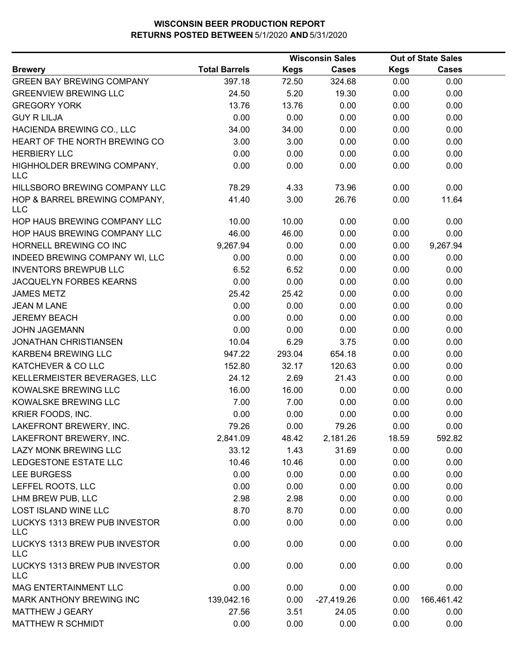|                                             |                      |             | <b>Wisconsin Sales</b> |             |              |  | <b>Out of State Sales</b> |  |
|---------------------------------------------|----------------------|-------------|------------------------|-------------|--------------|--|---------------------------|--|
| <b>Brewery</b>                              | <b>Total Barrels</b> | <b>Kegs</b> | <b>Cases</b>           | <b>Kegs</b> | <b>Cases</b> |  |                           |  |
| <b>GREEN BAY BREWING COMPANY</b>            | 397.18               | 72.50       | 324.68                 | 0.00        | 0.00         |  |                           |  |
| <b>GREENVIEW BREWING LLC</b>                | 24.50                | 5.20        | 19.30                  | 0.00        | 0.00         |  |                           |  |
| <b>GREGORY YORK</b>                         | 13.76                | 13.76       | 0.00                   | 0.00        | 0.00         |  |                           |  |
| <b>GUY R LILJA</b>                          | 0.00                 | 0.00        | 0.00                   | 0.00        | 0.00         |  |                           |  |
| HACIENDA BREWING CO., LLC                   | 34.00                | 34.00       | 0.00                   | 0.00        | 0.00         |  |                           |  |
| HEART OF THE NORTH BREWING CO               | 3.00                 | 3.00        | 0.00                   | 0.00        | 0.00         |  |                           |  |
| <b>HERBIERY LLC</b>                         | 0.00                 | 0.00        | 0.00                   | 0.00        | 0.00         |  |                           |  |
| HIGHHOLDER BREWING COMPANY,<br><b>LLC</b>   | 0.00                 | 0.00        | 0.00                   | 0.00        | 0.00         |  |                           |  |
| HILLSBORO BREWING COMPANY LLC               | 78.29                | 4.33        | 73.96                  | 0.00        | 0.00         |  |                           |  |
| HOP & BARREL BREWING COMPANY,<br><b>LLC</b> | 41.40                | 3.00        | 26.76                  | 0.00        | 11.64        |  |                           |  |
| HOP HAUS BREWING COMPANY LLC                | 10.00                | 10.00       | 0.00                   | 0.00        | 0.00         |  |                           |  |
| HOP HAUS BREWING COMPANY LLC                | 46.00                | 46.00       | 0.00                   | 0.00        | 0.00         |  |                           |  |
| HORNELL BREWING CO INC                      | 9,267.94             | 0.00        | 0.00                   | 0.00        | 9,267.94     |  |                           |  |
| INDEED BREWING COMPANY WI, LLC              | 0.00                 | 0.00        | 0.00                   | 0.00        | 0.00         |  |                           |  |
| <b>INVENTORS BREWPUB LLC</b>                | 6.52                 | 6.52        | 0.00                   | 0.00        | 0.00         |  |                           |  |
| JACQUELYN FORBES KEARNS                     | 0.00                 | 0.00        | 0.00                   | 0.00        | 0.00         |  |                           |  |
| <b>JAMES METZ</b>                           | 25.42                | 25.42       | 0.00                   | 0.00        | 0.00         |  |                           |  |
| <b>JEAN M LANE</b>                          | 0.00                 | 0.00        | 0.00                   | 0.00        | 0.00         |  |                           |  |
| <b>JEREMY BEACH</b>                         | 0.00                 | 0.00        | 0.00                   | 0.00        | 0.00         |  |                           |  |
| <b>JOHN JAGEMANN</b>                        | 0.00                 | 0.00        | 0.00                   | 0.00        | 0.00         |  |                           |  |
| <b>JONATHAN CHRISTIANSEN</b>                | 10.04                | 6.29        | 3.75                   | 0.00        | 0.00         |  |                           |  |
| KARBEN4 BREWING LLC                         | 947.22               | 293.04      | 654.18                 | 0.00        | 0.00         |  |                           |  |
| KATCHEVER & CO LLC                          | 152.80               | 32.17       | 120.63                 | 0.00        | 0.00         |  |                           |  |
| KELLERMEISTER BEVERAGES, LLC                | 24.12                | 2.69        | 21.43                  | 0.00        | 0.00         |  |                           |  |
| KOWALSKE BREWING LLC                        | 16.00                | 16.00       | 0.00                   | 0.00        | 0.00         |  |                           |  |
| KOWALSKE BREWING LLC                        | 7.00                 | 7.00        | 0.00                   | 0.00        | 0.00         |  |                           |  |
| KRIER FOODS, INC.                           | 0.00                 | 0.00        | 0.00                   | 0.00        | 0.00         |  |                           |  |
| LAKEFRONT BREWERY, INC.                     | 79.26                | 0.00        | 79.26                  | 0.00        | 0.00         |  |                           |  |
| LAKEFRONT BREWERY, INC.                     | 2,841.09             | 48.42       | 2,181.26               | 18.59       | 592.82       |  |                           |  |
| LAZY MONK BREWING LLC                       | 33.12                | 1.43        | 31.69                  | 0.00        | 0.00         |  |                           |  |
| LEDGESTONE ESTATE LLC                       | 10.46                | 10.46       | 0.00                   | 0.00        | 0.00         |  |                           |  |
| <b>LEE BURGESS</b>                          | 0.00                 | 0.00        | 0.00                   | 0.00        | 0.00         |  |                           |  |
| LEFFEL ROOTS, LLC                           | 0.00                 | 0.00        | 0.00                   | 0.00        | 0.00         |  |                           |  |
| LHM BREW PUB, LLC                           | 2.98                 | 2.98        | 0.00                   | 0.00        | 0.00         |  |                           |  |
| <b>LOST ISLAND WINE LLC</b>                 | 8.70                 | 8.70        | 0.00                   | 0.00        | 0.00         |  |                           |  |
| LUCKYS 1313 BREW PUB INVESTOR<br><b>LLC</b> | 0.00                 | 0.00        | 0.00                   | 0.00        | 0.00         |  |                           |  |
| LUCKYS 1313 BREW PUB INVESTOR<br><b>LLC</b> | 0.00                 | 0.00        | 0.00                   | 0.00        | 0.00         |  |                           |  |
| LUCKYS 1313 BREW PUB INVESTOR<br><b>LLC</b> | 0.00                 | 0.00        | 0.00                   | 0.00        | 0.00         |  |                           |  |
| MAG ENTERTAINMENT LLC                       | 0.00                 | 0.00        | 0.00                   | 0.00        | 0.00         |  |                           |  |
| MARK ANTHONY BREWING INC                    | 139,042.16           | 0.00        | $-27,419.26$           | 0.00        | 166,461.42   |  |                           |  |
| MATTHEW J GEARY                             | 27.56                | 3.51        | 24.05                  | 0.00        | 0.00         |  |                           |  |
| <b>MATTHEW R SCHMIDT</b>                    | 0.00                 | 0.00        | 0.00                   | 0.00        | 0.00         |  |                           |  |
|                                             |                      |             |                        |             |              |  |                           |  |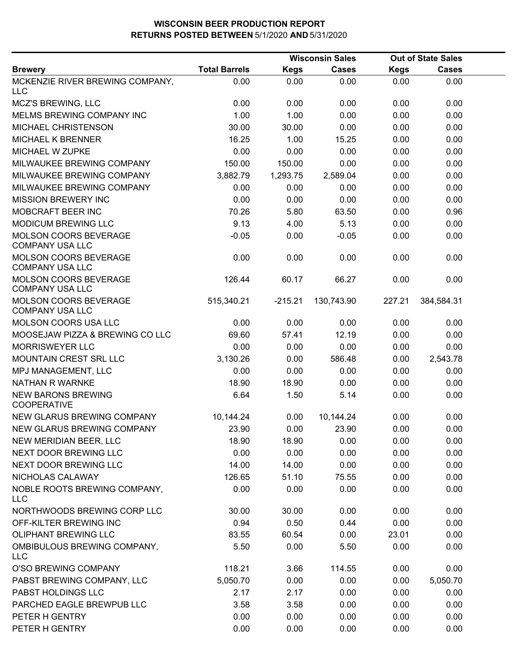|                                                 |                      |             | <b>Wisconsin Sales</b> |             | <b>Out of State Sales</b> |  |
|-------------------------------------------------|----------------------|-------------|------------------------|-------------|---------------------------|--|
| <b>Brewery</b>                                  | <b>Total Barrels</b> | <b>Kegs</b> | <b>Cases</b>           | <b>Kegs</b> | <b>Cases</b>              |  |
| MCKENZIE RIVER BREWING COMPANY,<br><b>LLC</b>   | 0.00                 | 0.00        | 0.00                   | 0.00        | 0.00                      |  |
| MCZ'S BREWING, LLC                              | 0.00                 | 0.00        | 0.00                   | 0.00        | 0.00                      |  |
| MELMS BREWING COMPANY INC                       | 1.00                 | 1.00        | 0.00                   | 0.00        | 0.00                      |  |
| MICHAEL CHRISTENSON                             | 30.00                | 30.00       | 0.00                   | 0.00        | 0.00                      |  |
| <b>MICHAEL K BRENNER</b>                        | 16.25                | 1.00        | 15.25                  | 0.00        | 0.00                      |  |
| MICHAEL W ZUPKE                                 | 0.00                 | 0.00        | 0.00                   | 0.00        | 0.00                      |  |
| MILWAUKEE BREWING COMPANY                       | 150.00               | 150.00      | 0.00                   | 0.00        | 0.00                      |  |
| MILWAUKEE BREWING COMPANY                       | 3,882.79             | 1,293.75    | 2,589.04               | 0.00        | 0.00                      |  |
| MILWAUKEE BREWING COMPANY                       | 0.00                 | 0.00        | 0.00                   | 0.00        | 0.00                      |  |
| <b>MISSION BREWERY INC</b>                      | 0.00                 | 0.00        | 0.00                   | 0.00        | 0.00                      |  |
| MOBCRAFT BEER INC                               | 70.26                | 5.80        | 63.50                  | 0.00        | 0.96                      |  |
| <b>MODICUM BREWING LLC</b>                      | 9.13                 | 4.00        | 5.13                   | 0.00        | 0.00                      |  |
| MOLSON COORS BEVERAGE<br><b>COMPANY USA LLC</b> | $-0.05$              | 0.00        | $-0.05$                | 0.00        | 0.00                      |  |
| MOLSON COORS BEVERAGE<br><b>COMPANY USA LLC</b> | 0.00                 | 0.00        | 0.00                   | 0.00        | 0.00                      |  |
| MOLSON COORS BEVERAGE<br><b>COMPANY USA LLC</b> | 126.44               | 60.17       | 66.27                  | 0.00        | 0.00                      |  |
| MOLSON COORS BEVERAGE<br><b>COMPANY USA LLC</b> | 515,340.21           | $-215.21$   | 130,743.90             | 227.21      | 384,584.31                |  |
| MOLSON COORS USA LLC                            | 0.00                 | 0.00        | 0.00                   | 0.00        | 0.00                      |  |
| MOOSEJAW PIZZA & BREWING CO LLC                 | 69.60                | 57.41       | 12.19                  | 0.00        | 0.00                      |  |
| <b>MORRISWEYER LLC</b>                          | 0.00                 | 0.00        | 0.00                   | 0.00        | 0.00                      |  |
| MOUNTAIN CREST SRL LLC                          | 3,130.26             | 0.00        | 586.48                 | 0.00        | 2,543.78                  |  |
| MPJ MANAGEMENT, LLC                             | 0.00                 | 0.00        | 0.00                   | 0.00        | 0.00                      |  |
| <b>NATHAN R WARNKE</b>                          | 18.90                | 18.90       | 0.00                   | 0.00        | 0.00                      |  |
| <b>NEW BARONS BREWING</b><br><b>COOPERATIVE</b> | 6.64                 | 1.50        | 5.14                   | 0.00        | 0.00                      |  |
| NEW GLARUS BREWING COMPANY                      | 10,144.24            | 0.00        | 10,144.24              | 0.00        | 0.00                      |  |
| NEW GLARUS BREWING COMPANY                      | 23.90                | 0.00        | 23.90                  | 0.00        | 0.00                      |  |
| NEW MERIDIAN BEER, LLC                          | 18.90                | 18.90       | 0.00                   | 0.00        | 0.00                      |  |
| NEXT DOOR BREWING LLC                           | 0.00                 | 0.00        | 0.00                   | 0.00        | 0.00                      |  |
| NEXT DOOR BREWING LLC                           | 14.00                | 14.00       | 0.00                   | 0.00        | 0.00                      |  |
| NICHOLAS CALAWAY                                | 126.65               | 51.10       | 75.55                  | 0.00        | 0.00                      |  |
| NOBLE ROOTS BREWING COMPANY,<br><b>LLC</b>      | 0.00                 | 0.00        | 0.00                   | 0.00        | 0.00                      |  |
| NORTHWOODS BREWING CORP LLC                     | 30.00                | 30.00       | 0.00                   | 0.00        | 0.00                      |  |
| OFF-KILTER BREWING INC                          | 0.94                 | 0.50        | 0.44                   | 0.00        | 0.00                      |  |
| <b>OLIPHANT BREWING LLC</b>                     | 83.55                | 60.54       | 0.00                   | 23.01       | 0.00                      |  |
| OMBIBULOUS BREWING COMPANY,<br><b>LLC</b>       | 5.50                 | 0.00        | 5.50                   | 0.00        | 0.00                      |  |
| O'SO BREWING COMPANY                            | 118.21               | 3.66        | 114.55                 | 0.00        | 0.00                      |  |
| PABST BREWING COMPANY, LLC                      | 5,050.70             | 0.00        | 0.00                   | 0.00        | 5,050.70                  |  |
| PABST HOLDINGS LLC                              | 2.17                 | 2.17        | 0.00                   | 0.00        | 0.00                      |  |
| PARCHED EAGLE BREWPUB LLC                       | 3.58                 | 3.58        | 0.00                   | 0.00        | 0.00                      |  |
| PETER H GENTRY                                  | 0.00                 | 0.00        | 0.00                   | 0.00        | 0.00                      |  |
| PETER H GENTRY                                  | 0.00                 | 0.00        | 0.00                   | 0.00        | 0.00                      |  |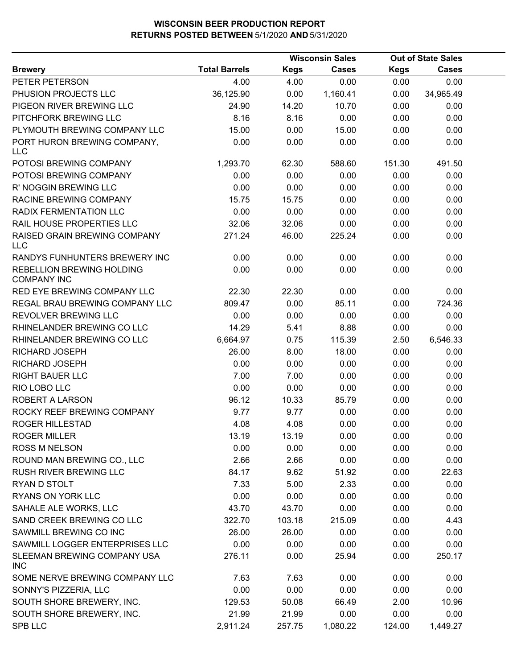|                                                 |                      | <b>Wisconsin Sales</b> |          | <b>Out of State Sales</b> |           |  |
|-------------------------------------------------|----------------------|------------------------|----------|---------------------------|-----------|--|
| <b>Brewery</b>                                  | <b>Total Barrels</b> | <b>Kegs</b>            | Cases    | <b>Kegs</b>               | Cases     |  |
| PETER PETERSON                                  | 4.00                 | 4.00                   | 0.00     | 0.00                      | 0.00      |  |
| PHUSION PROJECTS LLC                            | 36,125.90            | 0.00                   | 1,160.41 | 0.00                      | 34,965.49 |  |
| PIGEON RIVER BREWING LLC                        | 24.90                | 14.20                  | 10.70    | 0.00                      | 0.00      |  |
| PITCHFORK BREWING LLC                           | 8.16                 | 8.16                   | 0.00     | 0.00                      | 0.00      |  |
| PLYMOUTH BREWING COMPANY LLC                    | 15.00                | 0.00                   | 15.00    | 0.00                      | 0.00      |  |
| PORT HURON BREWING COMPANY,<br><b>LLC</b>       | 0.00                 | 0.00                   | 0.00     | 0.00                      | 0.00      |  |
| POTOSI BREWING COMPANY                          | 1,293.70             | 62.30                  | 588.60   | 151.30                    | 491.50    |  |
| POTOSI BREWING COMPANY                          | 0.00                 | 0.00                   | 0.00     | 0.00                      | 0.00      |  |
| R' NOGGIN BREWING LLC                           | 0.00                 | 0.00                   | 0.00     | 0.00                      | 0.00      |  |
| RACINE BREWING COMPANY                          | 15.75                | 15.75                  | 0.00     | 0.00                      | 0.00      |  |
| <b>RADIX FERMENTATION LLC</b>                   | 0.00                 | 0.00                   | 0.00     | 0.00                      | 0.00      |  |
| RAIL HOUSE PROPERTIES LLC                       | 32.06                | 32.06                  | 0.00     | 0.00                      | 0.00      |  |
| RAISED GRAIN BREWING COMPANY<br><b>LLC</b>      | 271.24               | 46.00                  | 225.24   | 0.00                      | 0.00      |  |
| RANDYS FUNHUNTERS BREWERY INC                   | 0.00                 | 0.00                   | 0.00     | 0.00                      | 0.00      |  |
| REBELLION BREWING HOLDING<br><b>COMPANY INC</b> | 0.00                 | 0.00                   | 0.00     | 0.00                      | 0.00      |  |
| <b>RED EYE BREWING COMPANY LLC</b>              | 22.30                | 22.30                  | 0.00     | 0.00                      | 0.00      |  |
| REGAL BRAU BREWING COMPANY LLC                  | 809.47               | 0.00                   | 85.11    | 0.00                      | 724.36    |  |
| REVOLVER BREWING LLC                            | 0.00                 | 0.00                   | 0.00     | 0.00                      | 0.00      |  |
| RHINELANDER BREWING CO LLC                      | 14.29                | 5.41                   | 8.88     | 0.00                      | 0.00      |  |
| RHINELANDER BREWING CO LLC                      | 6,664.97             | 0.75                   | 115.39   | 2.50                      | 6,546.33  |  |
| RICHARD JOSEPH                                  | 26.00                | 8.00                   | 18.00    | 0.00                      | 0.00      |  |
| RICHARD JOSEPH                                  | 0.00                 | 0.00                   | 0.00     | 0.00                      | 0.00      |  |
| <b>RIGHT BAUER LLC</b>                          | 7.00                 | 7.00                   | 0.00     | 0.00                      | 0.00      |  |
| RIO LOBO LLC                                    | 0.00                 | 0.00                   | 0.00     | 0.00                      | 0.00      |  |
| ROBERT A LARSON                                 | 96.12                | 10.33                  | 85.79    | 0.00                      | 0.00      |  |
| ROCKY REEF BREWING COMPANY                      | 9.77                 | 9.77                   | 0.00     | 0.00                      | 0.00      |  |
| <b>ROGER HILLESTAD</b>                          | 4.08                 | 4.08                   | 0.00     | 0.00                      | 0.00      |  |
| <b>ROGER MILLER</b>                             | 13.19                | 13.19                  | 0.00     | 0.00                      | 0.00      |  |
| <b>ROSS M NELSON</b>                            | 0.00                 | 0.00                   | 0.00     | 0.00                      | 0.00      |  |
| ROUND MAN BREWING CO., LLC                      | 2.66                 | 2.66                   | 0.00     | 0.00                      | 0.00      |  |
| RUSH RIVER BREWING LLC                          | 84.17                | 9.62                   | 51.92    | 0.00                      | 22.63     |  |
| RYAN D STOLT                                    | 7.33                 | 5.00                   | 2.33     | 0.00                      | 0.00      |  |
| <b>RYANS ON YORK LLC</b>                        | 0.00                 | 0.00                   | 0.00     | 0.00                      | 0.00      |  |
| SAHALE ALE WORKS, LLC                           | 43.70                | 43.70                  | 0.00     | 0.00                      | 0.00      |  |
| SAND CREEK BREWING CO LLC                       | 322.70               | 103.18                 | 215.09   | 0.00                      | 4.43      |  |
| SAWMILL BREWING CO INC                          | 26.00                | 26.00                  | 0.00     | 0.00                      | 0.00      |  |
| SAWMILL LOGGER ENTERPRISES LLC                  | 0.00                 | 0.00                   | 0.00     | 0.00                      | 0.00      |  |
| SLEEMAN BREWING COMPANY USA<br><b>INC</b>       | 276.11               | 0.00                   | 25.94    | 0.00                      | 250.17    |  |
| SOME NERVE BREWING COMPANY LLC                  | 7.63                 | 7.63                   | 0.00     | 0.00                      | 0.00      |  |
| SONNY'S PIZZERIA, LLC                           | 0.00                 | 0.00                   | 0.00     | 0.00                      | 0.00      |  |
| SOUTH SHORE BREWERY, INC.                       | 129.53               | 50.08                  | 66.49    | 2.00                      | 10.96     |  |
| SOUTH SHORE BREWERY, INC.                       | 21.99                | 21.99                  | 0.00     | 0.00                      | 0.00      |  |
| <b>SPB LLC</b>                                  | 2,911.24             | 257.75                 | 1,080.22 | 124.00                    | 1,449.27  |  |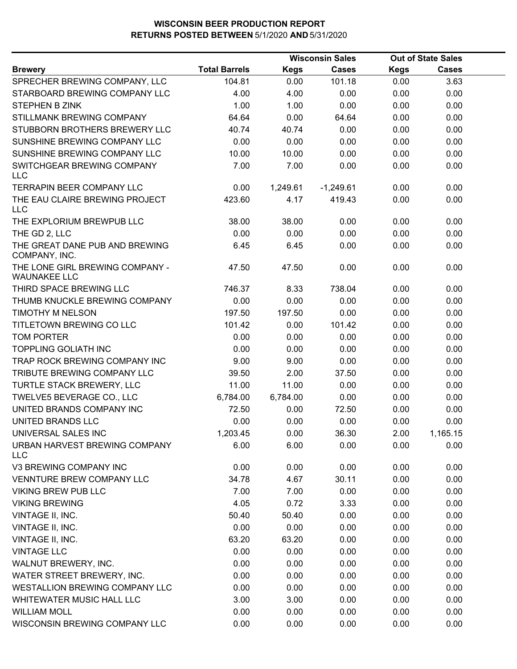| <b>Total Barrels</b><br><b>Kegs</b><br><b>Cases</b><br><b>Kegs</b><br><b>Cases</b><br>104.81<br>101.18<br>3.63<br>0.00<br>0.00<br>4.00<br>4.00<br>0.00<br>0.00<br>0.00<br>1.00<br>1.00<br>0.00<br>0.00<br>0.00<br>STILLMANK BREWING COMPANY<br>64.64<br>0.00<br>64.64<br>0.00<br>0.00<br>STUBBORN BROTHERS BREWERY LLC<br>40.74<br>40.74<br>0.00<br>0.00<br>0.00<br>0.00<br>0.00<br>0.00<br>SUNSHINE BREWING COMPANY LLC<br>0.00<br>0.00<br>10.00<br>SUNSHINE BREWING COMPANY LLC<br>10.00<br>0.00<br>0.00<br>0.00<br>7.00<br>SWITCHGEAR BREWING COMPANY<br>7.00<br>0.00<br>0.00<br>0.00<br><b>LLC</b><br><b>TERRAPIN BEER COMPANY LLC</b><br>0.00<br>0.00<br>1,249.61<br>$-1,249.61$<br>0.00<br>THE EAU CLAIRE BREWING PROJECT<br>423.60<br>4.17<br>419.43<br>0.00<br>0.00<br><b>LLC</b><br>THE EXPLORIUM BREWPUB LLC<br>38.00<br>0.00<br>38.00<br>0.00<br>0.00<br>0.00<br>0.00<br>0.00<br>0.00<br>0.00<br>THE GD 2, LLC<br>THE GREAT DANE PUB AND BREWING<br>6.45<br>0.00<br>0.00<br>0.00<br>6.45<br>COMPANY, INC.<br>THE LONE GIRL BREWING COMPANY -<br>47.50<br>47.50<br>0.00<br>0.00<br>0.00<br><b>WAUNAKEE LLC</b><br>THIRD SPACE BREWING LLC<br>8.33<br>738.04<br>0.00<br>0.00<br>746.37<br>THUMB KNUCKLE BREWING COMPANY<br>0.00<br>0.00<br>0.00<br>0.00<br>0.00<br><b>TIMOTHY M NELSON</b><br>197.50<br>197.50<br>0.00<br>0.00<br>0.00<br>TITLETOWN BREWING CO LLC<br>101.42<br>0.00<br>101.42<br>0.00<br>0.00<br><b>TOM PORTER</b><br>0.00<br>0.00<br>0.00<br>0.00<br>0.00<br><b>TOPPLING GOLIATH INC</b><br>0.00<br>0.00<br>0.00<br>0.00<br>0.00<br>TRAP ROCK BREWING COMPANY INC<br>9.00<br>9.00<br>0.00<br>0.00<br>0.00<br>TRIBUTE BREWING COMPANY LLC<br>39.50<br>2.00<br>37.50<br>0.00<br>0.00<br>TURTLE STACK BREWERY, LLC<br>11.00<br>11.00<br>0.00<br>0.00<br>0.00<br>TWELVE5 BEVERAGE CO., LLC<br>6,784.00<br>6,784.00<br>0.00<br>0.00<br>0.00<br>UNITED BRANDS COMPANY INC<br>72.50<br>0.00<br>72.50<br>0.00<br>0.00<br>0.00<br>UNITED BRANDS LLC<br>0.00<br>0.00<br>0.00<br>0.00<br>0.00<br>36.30<br>2.00<br>UNIVERSAL SALES INC<br>1,203.45<br>1,165.15<br>URBAN HARVEST BREWING COMPANY<br>6.00<br>6.00<br>0.00<br>0.00<br>0.00<br><b>LLC</b><br>V3 BREWING COMPANY INC<br>0.00<br>0.00<br>0.00<br>0.00<br>0.00<br><b>VENNTURE BREW COMPANY LLC</b><br>34.78<br>4.67<br>30.11<br>0.00<br>0.00<br><b>VIKING BREW PUB LLC</b><br>7.00<br>7.00<br>0.00<br>0.00<br>0.00<br>4.05<br>0.72<br>3.33<br>0.00<br>0.00<br><b>VIKING BREWING</b><br>VINTAGE II, INC.<br>50.40<br>50.40<br>0.00<br>0.00<br>0.00<br>VINTAGE II, INC.<br>0.00<br>0.00<br>0.00<br>0.00<br>0.00<br>63.20<br>VINTAGE II, INC.<br>63.20<br>0.00<br>0.00<br>0.00<br>0.00<br><b>VINTAGE LLC</b><br>0.00<br>0.00<br>0.00<br>0.00<br>WALNUT BREWERY, INC.<br>0.00<br>0.00<br>0.00<br>0.00<br>0.00<br>WATER STREET BREWERY, INC.<br>0.00<br>0.00<br>0.00<br>0.00<br>0.00<br>WESTALLION BREWING COMPANY LLC<br>0.00<br>0.00<br>0.00<br>0.00<br>0.00<br>WHITEWATER MUSIC HALL LLC<br>3.00<br>3.00<br>0.00<br>0.00<br>0.00<br>0.00<br><b>WILLIAM MOLL</b><br>0.00<br>0.00<br>0.00<br>0.00<br>0.00<br>0.00<br>0.00<br>0.00<br>0.00 |                               | <b>Wisconsin Sales</b> |  |  | <b>Out of State Sales</b> |  |
|---------------------------------------------------------------------------------------------------------------------------------------------------------------------------------------------------------------------------------------------------------------------------------------------------------------------------------------------------------------------------------------------------------------------------------------------------------------------------------------------------------------------------------------------------------------------------------------------------------------------------------------------------------------------------------------------------------------------------------------------------------------------------------------------------------------------------------------------------------------------------------------------------------------------------------------------------------------------------------------------------------------------------------------------------------------------------------------------------------------------------------------------------------------------------------------------------------------------------------------------------------------------------------------------------------------------------------------------------------------------------------------------------------------------------------------------------------------------------------------------------------------------------------------------------------------------------------------------------------------------------------------------------------------------------------------------------------------------------------------------------------------------------------------------------------------------------------------------------------------------------------------------------------------------------------------------------------------------------------------------------------------------------------------------------------------------------------------------------------------------------------------------------------------------------------------------------------------------------------------------------------------------------------------------------------------------------------------------------------------------------------------------------------------------------------------------------------------------------------------------------------------------------------------------------------------------------------------------------------------------------------------------------------------------------------------------------------------------------------------------------------------------------------------------------------------------------------------------------------------------------------------------------------------------------------------------------------------------------------------------------------------------------------------------------------------------------------------------------------------|-------------------------------|------------------------|--|--|---------------------------|--|
|                                                                                                                                                                                                                                                                                                                                                                                                                                                                                                                                                                                                                                                                                                                                                                                                                                                                                                                                                                                                                                                                                                                                                                                                                                                                                                                                                                                                                                                                                                                                                                                                                                                                                                                                                                                                                                                                                                                                                                                                                                                                                                                                                                                                                                                                                                                                                                                                                                                                                                                                                                                                                                                                                                                                                                                                                                                                                                                                                                                                                                                                                                               | <b>Brewery</b>                |                        |  |  |                           |  |
|                                                                                                                                                                                                                                                                                                                                                                                                                                                                                                                                                                                                                                                                                                                                                                                                                                                                                                                                                                                                                                                                                                                                                                                                                                                                                                                                                                                                                                                                                                                                                                                                                                                                                                                                                                                                                                                                                                                                                                                                                                                                                                                                                                                                                                                                                                                                                                                                                                                                                                                                                                                                                                                                                                                                                                                                                                                                                                                                                                                                                                                                                                               | SPRECHER BREWING COMPANY, LLC |                        |  |  |                           |  |
|                                                                                                                                                                                                                                                                                                                                                                                                                                                                                                                                                                                                                                                                                                                                                                                                                                                                                                                                                                                                                                                                                                                                                                                                                                                                                                                                                                                                                                                                                                                                                                                                                                                                                                                                                                                                                                                                                                                                                                                                                                                                                                                                                                                                                                                                                                                                                                                                                                                                                                                                                                                                                                                                                                                                                                                                                                                                                                                                                                                                                                                                                                               | STARBOARD BREWING COMPANY LLC |                        |  |  |                           |  |
|                                                                                                                                                                                                                                                                                                                                                                                                                                                                                                                                                                                                                                                                                                                                                                                                                                                                                                                                                                                                                                                                                                                                                                                                                                                                                                                                                                                                                                                                                                                                                                                                                                                                                                                                                                                                                                                                                                                                                                                                                                                                                                                                                                                                                                                                                                                                                                                                                                                                                                                                                                                                                                                                                                                                                                                                                                                                                                                                                                                                                                                                                                               | STEPHEN B ZINK                |                        |  |  |                           |  |
|                                                                                                                                                                                                                                                                                                                                                                                                                                                                                                                                                                                                                                                                                                                                                                                                                                                                                                                                                                                                                                                                                                                                                                                                                                                                                                                                                                                                                                                                                                                                                                                                                                                                                                                                                                                                                                                                                                                                                                                                                                                                                                                                                                                                                                                                                                                                                                                                                                                                                                                                                                                                                                                                                                                                                                                                                                                                                                                                                                                                                                                                                                               |                               |                        |  |  |                           |  |
|                                                                                                                                                                                                                                                                                                                                                                                                                                                                                                                                                                                                                                                                                                                                                                                                                                                                                                                                                                                                                                                                                                                                                                                                                                                                                                                                                                                                                                                                                                                                                                                                                                                                                                                                                                                                                                                                                                                                                                                                                                                                                                                                                                                                                                                                                                                                                                                                                                                                                                                                                                                                                                                                                                                                                                                                                                                                                                                                                                                                                                                                                                               |                               |                        |  |  |                           |  |
|                                                                                                                                                                                                                                                                                                                                                                                                                                                                                                                                                                                                                                                                                                                                                                                                                                                                                                                                                                                                                                                                                                                                                                                                                                                                                                                                                                                                                                                                                                                                                                                                                                                                                                                                                                                                                                                                                                                                                                                                                                                                                                                                                                                                                                                                                                                                                                                                                                                                                                                                                                                                                                                                                                                                                                                                                                                                                                                                                                                                                                                                                                               |                               |                        |  |  |                           |  |
|                                                                                                                                                                                                                                                                                                                                                                                                                                                                                                                                                                                                                                                                                                                                                                                                                                                                                                                                                                                                                                                                                                                                                                                                                                                                                                                                                                                                                                                                                                                                                                                                                                                                                                                                                                                                                                                                                                                                                                                                                                                                                                                                                                                                                                                                                                                                                                                                                                                                                                                                                                                                                                                                                                                                                                                                                                                                                                                                                                                                                                                                                                               |                               |                        |  |  |                           |  |
|                                                                                                                                                                                                                                                                                                                                                                                                                                                                                                                                                                                                                                                                                                                                                                                                                                                                                                                                                                                                                                                                                                                                                                                                                                                                                                                                                                                                                                                                                                                                                                                                                                                                                                                                                                                                                                                                                                                                                                                                                                                                                                                                                                                                                                                                                                                                                                                                                                                                                                                                                                                                                                                                                                                                                                                                                                                                                                                                                                                                                                                                                                               |                               |                        |  |  |                           |  |
|                                                                                                                                                                                                                                                                                                                                                                                                                                                                                                                                                                                                                                                                                                                                                                                                                                                                                                                                                                                                                                                                                                                                                                                                                                                                                                                                                                                                                                                                                                                                                                                                                                                                                                                                                                                                                                                                                                                                                                                                                                                                                                                                                                                                                                                                                                                                                                                                                                                                                                                                                                                                                                                                                                                                                                                                                                                                                                                                                                                                                                                                                                               |                               |                        |  |  |                           |  |
|                                                                                                                                                                                                                                                                                                                                                                                                                                                                                                                                                                                                                                                                                                                                                                                                                                                                                                                                                                                                                                                                                                                                                                                                                                                                                                                                                                                                                                                                                                                                                                                                                                                                                                                                                                                                                                                                                                                                                                                                                                                                                                                                                                                                                                                                                                                                                                                                                                                                                                                                                                                                                                                                                                                                                                                                                                                                                                                                                                                                                                                                                                               |                               |                        |  |  |                           |  |
|                                                                                                                                                                                                                                                                                                                                                                                                                                                                                                                                                                                                                                                                                                                                                                                                                                                                                                                                                                                                                                                                                                                                                                                                                                                                                                                                                                                                                                                                                                                                                                                                                                                                                                                                                                                                                                                                                                                                                                                                                                                                                                                                                                                                                                                                                                                                                                                                                                                                                                                                                                                                                                                                                                                                                                                                                                                                                                                                                                                                                                                                                                               |                               |                        |  |  |                           |  |
|                                                                                                                                                                                                                                                                                                                                                                                                                                                                                                                                                                                                                                                                                                                                                                                                                                                                                                                                                                                                                                                                                                                                                                                                                                                                                                                                                                                                                                                                                                                                                                                                                                                                                                                                                                                                                                                                                                                                                                                                                                                                                                                                                                                                                                                                                                                                                                                                                                                                                                                                                                                                                                                                                                                                                                                                                                                                                                                                                                                                                                                                                                               |                               |                        |  |  |                           |  |
|                                                                                                                                                                                                                                                                                                                                                                                                                                                                                                                                                                                                                                                                                                                                                                                                                                                                                                                                                                                                                                                                                                                                                                                                                                                                                                                                                                                                                                                                                                                                                                                                                                                                                                                                                                                                                                                                                                                                                                                                                                                                                                                                                                                                                                                                                                                                                                                                                                                                                                                                                                                                                                                                                                                                                                                                                                                                                                                                                                                                                                                                                                               |                               |                        |  |  |                           |  |
|                                                                                                                                                                                                                                                                                                                                                                                                                                                                                                                                                                                                                                                                                                                                                                                                                                                                                                                                                                                                                                                                                                                                                                                                                                                                                                                                                                                                                                                                                                                                                                                                                                                                                                                                                                                                                                                                                                                                                                                                                                                                                                                                                                                                                                                                                                                                                                                                                                                                                                                                                                                                                                                                                                                                                                                                                                                                                                                                                                                                                                                                                                               |                               |                        |  |  |                           |  |
|                                                                                                                                                                                                                                                                                                                                                                                                                                                                                                                                                                                                                                                                                                                                                                                                                                                                                                                                                                                                                                                                                                                                                                                                                                                                                                                                                                                                                                                                                                                                                                                                                                                                                                                                                                                                                                                                                                                                                                                                                                                                                                                                                                                                                                                                                                                                                                                                                                                                                                                                                                                                                                                                                                                                                                                                                                                                                                                                                                                                                                                                                                               |                               |                        |  |  |                           |  |
|                                                                                                                                                                                                                                                                                                                                                                                                                                                                                                                                                                                                                                                                                                                                                                                                                                                                                                                                                                                                                                                                                                                                                                                                                                                                                                                                                                                                                                                                                                                                                                                                                                                                                                                                                                                                                                                                                                                                                                                                                                                                                                                                                                                                                                                                                                                                                                                                                                                                                                                                                                                                                                                                                                                                                                                                                                                                                                                                                                                                                                                                                                               |                               |                        |  |  |                           |  |
|                                                                                                                                                                                                                                                                                                                                                                                                                                                                                                                                                                                                                                                                                                                                                                                                                                                                                                                                                                                                                                                                                                                                                                                                                                                                                                                                                                                                                                                                                                                                                                                                                                                                                                                                                                                                                                                                                                                                                                                                                                                                                                                                                                                                                                                                                                                                                                                                                                                                                                                                                                                                                                                                                                                                                                                                                                                                                                                                                                                                                                                                                                               |                               |                        |  |  |                           |  |
|                                                                                                                                                                                                                                                                                                                                                                                                                                                                                                                                                                                                                                                                                                                                                                                                                                                                                                                                                                                                                                                                                                                                                                                                                                                                                                                                                                                                                                                                                                                                                                                                                                                                                                                                                                                                                                                                                                                                                                                                                                                                                                                                                                                                                                                                                                                                                                                                                                                                                                                                                                                                                                                                                                                                                                                                                                                                                                                                                                                                                                                                                                               |                               |                        |  |  |                           |  |
|                                                                                                                                                                                                                                                                                                                                                                                                                                                                                                                                                                                                                                                                                                                                                                                                                                                                                                                                                                                                                                                                                                                                                                                                                                                                                                                                                                                                                                                                                                                                                                                                                                                                                                                                                                                                                                                                                                                                                                                                                                                                                                                                                                                                                                                                                                                                                                                                                                                                                                                                                                                                                                                                                                                                                                                                                                                                                                                                                                                                                                                                                                               |                               |                        |  |  |                           |  |
|                                                                                                                                                                                                                                                                                                                                                                                                                                                                                                                                                                                                                                                                                                                                                                                                                                                                                                                                                                                                                                                                                                                                                                                                                                                                                                                                                                                                                                                                                                                                                                                                                                                                                                                                                                                                                                                                                                                                                                                                                                                                                                                                                                                                                                                                                                                                                                                                                                                                                                                                                                                                                                                                                                                                                                                                                                                                                                                                                                                                                                                                                                               |                               |                        |  |  |                           |  |
|                                                                                                                                                                                                                                                                                                                                                                                                                                                                                                                                                                                                                                                                                                                                                                                                                                                                                                                                                                                                                                                                                                                                                                                                                                                                                                                                                                                                                                                                                                                                                                                                                                                                                                                                                                                                                                                                                                                                                                                                                                                                                                                                                                                                                                                                                                                                                                                                                                                                                                                                                                                                                                                                                                                                                                                                                                                                                                                                                                                                                                                                                                               |                               |                        |  |  |                           |  |
|                                                                                                                                                                                                                                                                                                                                                                                                                                                                                                                                                                                                                                                                                                                                                                                                                                                                                                                                                                                                                                                                                                                                                                                                                                                                                                                                                                                                                                                                                                                                                                                                                                                                                                                                                                                                                                                                                                                                                                                                                                                                                                                                                                                                                                                                                                                                                                                                                                                                                                                                                                                                                                                                                                                                                                                                                                                                                                                                                                                                                                                                                                               |                               |                        |  |  |                           |  |
|                                                                                                                                                                                                                                                                                                                                                                                                                                                                                                                                                                                                                                                                                                                                                                                                                                                                                                                                                                                                                                                                                                                                                                                                                                                                                                                                                                                                                                                                                                                                                                                                                                                                                                                                                                                                                                                                                                                                                                                                                                                                                                                                                                                                                                                                                                                                                                                                                                                                                                                                                                                                                                                                                                                                                                                                                                                                                                                                                                                                                                                                                                               |                               |                        |  |  |                           |  |
|                                                                                                                                                                                                                                                                                                                                                                                                                                                                                                                                                                                                                                                                                                                                                                                                                                                                                                                                                                                                                                                                                                                                                                                                                                                                                                                                                                                                                                                                                                                                                                                                                                                                                                                                                                                                                                                                                                                                                                                                                                                                                                                                                                                                                                                                                                                                                                                                                                                                                                                                                                                                                                                                                                                                                                                                                                                                                                                                                                                                                                                                                                               |                               |                        |  |  |                           |  |
|                                                                                                                                                                                                                                                                                                                                                                                                                                                                                                                                                                                                                                                                                                                                                                                                                                                                                                                                                                                                                                                                                                                                                                                                                                                                                                                                                                                                                                                                                                                                                                                                                                                                                                                                                                                                                                                                                                                                                                                                                                                                                                                                                                                                                                                                                                                                                                                                                                                                                                                                                                                                                                                                                                                                                                                                                                                                                                                                                                                                                                                                                                               |                               |                        |  |  |                           |  |
|                                                                                                                                                                                                                                                                                                                                                                                                                                                                                                                                                                                                                                                                                                                                                                                                                                                                                                                                                                                                                                                                                                                                                                                                                                                                                                                                                                                                                                                                                                                                                                                                                                                                                                                                                                                                                                                                                                                                                                                                                                                                                                                                                                                                                                                                                                                                                                                                                                                                                                                                                                                                                                                                                                                                                                                                                                                                                                                                                                                                                                                                                                               |                               |                        |  |  |                           |  |
|                                                                                                                                                                                                                                                                                                                                                                                                                                                                                                                                                                                                                                                                                                                                                                                                                                                                                                                                                                                                                                                                                                                                                                                                                                                                                                                                                                                                                                                                                                                                                                                                                                                                                                                                                                                                                                                                                                                                                                                                                                                                                                                                                                                                                                                                                                                                                                                                                                                                                                                                                                                                                                                                                                                                                                                                                                                                                                                                                                                                                                                                                                               |                               |                        |  |  |                           |  |
|                                                                                                                                                                                                                                                                                                                                                                                                                                                                                                                                                                                                                                                                                                                                                                                                                                                                                                                                                                                                                                                                                                                                                                                                                                                                                                                                                                                                                                                                                                                                                                                                                                                                                                                                                                                                                                                                                                                                                                                                                                                                                                                                                                                                                                                                                                                                                                                                                                                                                                                                                                                                                                                                                                                                                                                                                                                                                                                                                                                                                                                                                                               |                               |                        |  |  |                           |  |
|                                                                                                                                                                                                                                                                                                                                                                                                                                                                                                                                                                                                                                                                                                                                                                                                                                                                                                                                                                                                                                                                                                                                                                                                                                                                                                                                                                                                                                                                                                                                                                                                                                                                                                                                                                                                                                                                                                                                                                                                                                                                                                                                                                                                                                                                                                                                                                                                                                                                                                                                                                                                                                                                                                                                                                                                                                                                                                                                                                                                                                                                                                               |                               |                        |  |  |                           |  |
|                                                                                                                                                                                                                                                                                                                                                                                                                                                                                                                                                                                                                                                                                                                                                                                                                                                                                                                                                                                                                                                                                                                                                                                                                                                                                                                                                                                                                                                                                                                                                                                                                                                                                                                                                                                                                                                                                                                                                                                                                                                                                                                                                                                                                                                                                                                                                                                                                                                                                                                                                                                                                                                                                                                                                                                                                                                                                                                                                                                                                                                                                                               |                               |                        |  |  |                           |  |
|                                                                                                                                                                                                                                                                                                                                                                                                                                                                                                                                                                                                                                                                                                                                                                                                                                                                                                                                                                                                                                                                                                                                                                                                                                                                                                                                                                                                                                                                                                                                                                                                                                                                                                                                                                                                                                                                                                                                                                                                                                                                                                                                                                                                                                                                                                                                                                                                                                                                                                                                                                                                                                                                                                                                                                                                                                                                                                                                                                                                                                                                                                               |                               |                        |  |  |                           |  |
|                                                                                                                                                                                                                                                                                                                                                                                                                                                                                                                                                                                                                                                                                                                                                                                                                                                                                                                                                                                                                                                                                                                                                                                                                                                                                                                                                                                                                                                                                                                                                                                                                                                                                                                                                                                                                                                                                                                                                                                                                                                                                                                                                                                                                                                                                                                                                                                                                                                                                                                                                                                                                                                                                                                                                                                                                                                                                                                                                                                                                                                                                                               |                               |                        |  |  |                           |  |
|                                                                                                                                                                                                                                                                                                                                                                                                                                                                                                                                                                                                                                                                                                                                                                                                                                                                                                                                                                                                                                                                                                                                                                                                                                                                                                                                                                                                                                                                                                                                                                                                                                                                                                                                                                                                                                                                                                                                                                                                                                                                                                                                                                                                                                                                                                                                                                                                                                                                                                                                                                                                                                                                                                                                                                                                                                                                                                                                                                                                                                                                                                               |                               |                        |  |  |                           |  |
|                                                                                                                                                                                                                                                                                                                                                                                                                                                                                                                                                                                                                                                                                                                                                                                                                                                                                                                                                                                                                                                                                                                                                                                                                                                                                                                                                                                                                                                                                                                                                                                                                                                                                                                                                                                                                                                                                                                                                                                                                                                                                                                                                                                                                                                                                                                                                                                                                                                                                                                                                                                                                                                                                                                                                                                                                                                                                                                                                                                                                                                                                                               |                               |                        |  |  |                           |  |
|                                                                                                                                                                                                                                                                                                                                                                                                                                                                                                                                                                                                                                                                                                                                                                                                                                                                                                                                                                                                                                                                                                                                                                                                                                                                                                                                                                                                                                                                                                                                                                                                                                                                                                                                                                                                                                                                                                                                                                                                                                                                                                                                                                                                                                                                                                                                                                                                                                                                                                                                                                                                                                                                                                                                                                                                                                                                                                                                                                                                                                                                                                               |                               |                        |  |  |                           |  |
|                                                                                                                                                                                                                                                                                                                                                                                                                                                                                                                                                                                                                                                                                                                                                                                                                                                                                                                                                                                                                                                                                                                                                                                                                                                                                                                                                                                                                                                                                                                                                                                                                                                                                                                                                                                                                                                                                                                                                                                                                                                                                                                                                                                                                                                                                                                                                                                                                                                                                                                                                                                                                                                                                                                                                                                                                                                                                                                                                                                                                                                                                                               |                               |                        |  |  |                           |  |
|                                                                                                                                                                                                                                                                                                                                                                                                                                                                                                                                                                                                                                                                                                                                                                                                                                                                                                                                                                                                                                                                                                                                                                                                                                                                                                                                                                                                                                                                                                                                                                                                                                                                                                                                                                                                                                                                                                                                                                                                                                                                                                                                                                                                                                                                                                                                                                                                                                                                                                                                                                                                                                                                                                                                                                                                                                                                                                                                                                                                                                                                                                               |                               |                        |  |  |                           |  |
|                                                                                                                                                                                                                                                                                                                                                                                                                                                                                                                                                                                                                                                                                                                                                                                                                                                                                                                                                                                                                                                                                                                                                                                                                                                                                                                                                                                                                                                                                                                                                                                                                                                                                                                                                                                                                                                                                                                                                                                                                                                                                                                                                                                                                                                                                                                                                                                                                                                                                                                                                                                                                                                                                                                                                                                                                                                                                                                                                                                                                                                                                                               |                               |                        |  |  |                           |  |
|                                                                                                                                                                                                                                                                                                                                                                                                                                                                                                                                                                                                                                                                                                                                                                                                                                                                                                                                                                                                                                                                                                                                                                                                                                                                                                                                                                                                                                                                                                                                                                                                                                                                                                                                                                                                                                                                                                                                                                                                                                                                                                                                                                                                                                                                                                                                                                                                                                                                                                                                                                                                                                                                                                                                                                                                                                                                                                                                                                                                                                                                                                               |                               |                        |  |  |                           |  |
|                                                                                                                                                                                                                                                                                                                                                                                                                                                                                                                                                                                                                                                                                                                                                                                                                                                                                                                                                                                                                                                                                                                                                                                                                                                                                                                                                                                                                                                                                                                                                                                                                                                                                                                                                                                                                                                                                                                                                                                                                                                                                                                                                                                                                                                                                                                                                                                                                                                                                                                                                                                                                                                                                                                                                                                                                                                                                                                                                                                                                                                                                                               |                               |                        |  |  |                           |  |
|                                                                                                                                                                                                                                                                                                                                                                                                                                                                                                                                                                                                                                                                                                                                                                                                                                                                                                                                                                                                                                                                                                                                                                                                                                                                                                                                                                                                                                                                                                                                                                                                                                                                                                                                                                                                                                                                                                                                                                                                                                                                                                                                                                                                                                                                                                                                                                                                                                                                                                                                                                                                                                                                                                                                                                                                                                                                                                                                                                                                                                                                                                               |                               |                        |  |  |                           |  |
|                                                                                                                                                                                                                                                                                                                                                                                                                                                                                                                                                                                                                                                                                                                                                                                                                                                                                                                                                                                                                                                                                                                                                                                                                                                                                                                                                                                                                                                                                                                                                                                                                                                                                                                                                                                                                                                                                                                                                                                                                                                                                                                                                                                                                                                                                                                                                                                                                                                                                                                                                                                                                                                                                                                                                                                                                                                                                                                                                                                                                                                                                                               | WISCONSIN BREWING COMPANY LLC |                        |  |  |                           |  |